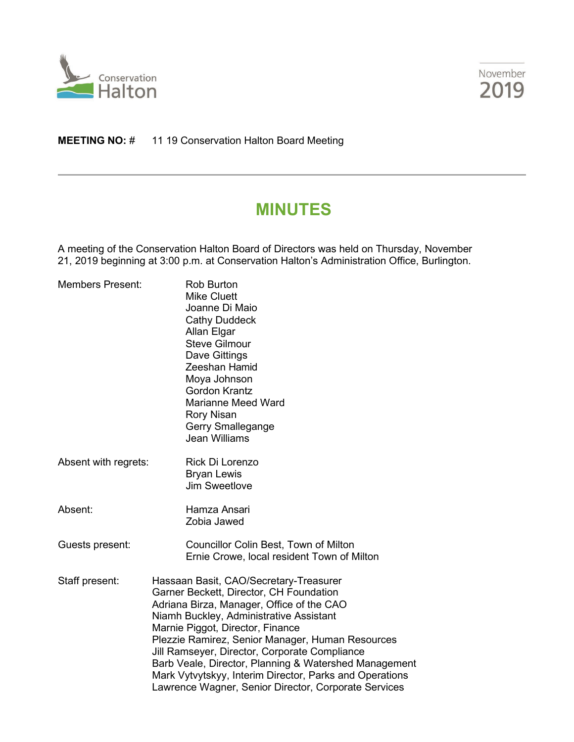



## **MEETING NO:** # 11 19 Conservation Halton Board Meeting

# **MINUTES**

A meeting of the Conservation Halton Board of Directors was held on Thursday, November 21, 2019 beginning at 3:00 p.m. at Conservation Halton's Administration Office, Burlington.

| <b>Members Present:</b> | <b>Rob Burton</b><br><b>Mike Cluett</b><br>Joanne Di Maio<br><b>Cathy Duddeck</b><br>Allan Elgar<br><b>Steve Gilmour</b><br>Dave Gittings<br><b>Zeeshan Hamid</b><br>Moya Johnson<br><b>Gordon Krantz</b><br><b>Marianne Meed Ward</b><br><b>Rory Nisan</b><br>Gerry Smallegange<br><b>Jean Williams</b>                                                                                                                                                                                       |  |
|-------------------------|------------------------------------------------------------------------------------------------------------------------------------------------------------------------------------------------------------------------------------------------------------------------------------------------------------------------------------------------------------------------------------------------------------------------------------------------------------------------------------------------|--|
| Absent with regrets:    | Rick Di Lorenzo<br><b>Bryan Lewis</b><br><b>Jim Sweetlove</b>                                                                                                                                                                                                                                                                                                                                                                                                                                  |  |
| Absent:                 | Hamza Ansari<br>Zobia Jawed                                                                                                                                                                                                                                                                                                                                                                                                                                                                    |  |
| Guests present:         | Councillor Colin Best, Town of Milton<br>Ernie Crowe, local resident Town of Milton                                                                                                                                                                                                                                                                                                                                                                                                            |  |
| Staff present:          | Hassaan Basit, CAO/Secretary-Treasurer<br>Garner Beckett, Director, CH Foundation<br>Adriana Birza, Manager, Office of the CAO<br>Niamh Buckley, Administrative Assistant<br>Marnie Piggot, Director, Finance<br>Plezzie Ramirez, Senior Manager, Human Resources<br>Jill Ramseyer, Director, Corporate Compliance<br>Barb Veale, Director, Planning & Watershed Management<br>Mark Vytvytskyy, Interim Director, Parks and Operations<br>Lawrence Wagner, Senior Director, Corporate Services |  |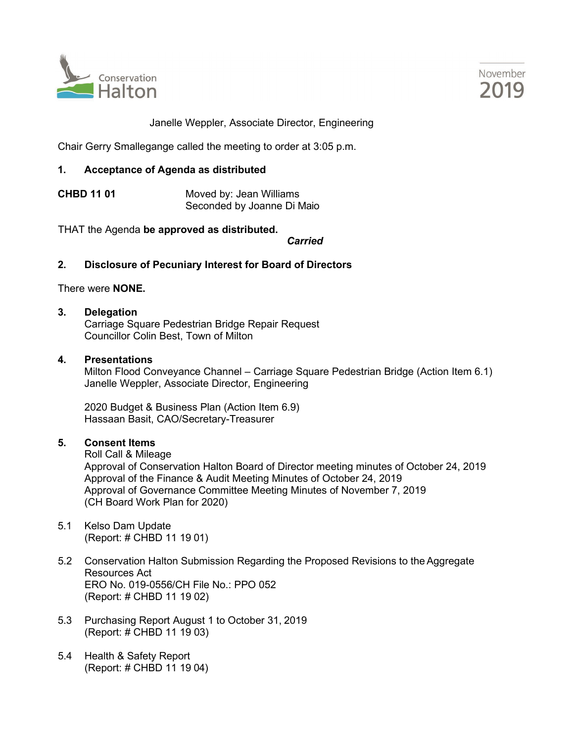



Janelle Weppler, Associate Director, Engineering

Chair Gerry Smallegange called the meeting to order at 3:05 p.m.

## **1. Acceptance of Agenda as distributed**

**CHBD 11 01** Moved by: Jean Williams Seconded by Joanne Di Maio

THAT the Agenda **be approved as distributed.**

*Carried*

## **2. Disclosure of Pecuniary Interest for Board of Directors**

There were **NONE.**

#### **3. Delegation**

Carriage Square Pedestrian Bridge Repair Request Councillor Colin Best, Town of Milton

#### **4. Presentations**

Milton Flood Conveyance Channel – Carriage Square Pedestrian Bridge (Action Item 6.1) Janelle Weppler, Associate Director, Engineering

2020 Budget & Business Plan (Action Item 6.9) Hassaan Basit, CAO/Secretary-Treasurer

## **5. Consent Items**

Roll Call & Mileage Approval of Conservation Halton Board of Director meeting minutes of October 24, 2019 Approval of the Finance & Audit Meeting Minutes of October 24, 2019 Approval of Governance Committee Meeting Minutes of November 7, 2019 (CH Board Work Plan for 2020)

- 5.1 Kelso Dam Update (Report: # CHBD 11 19 01)
- 5.2 Conservation Halton Submission Regarding the Proposed Revisions to the Aggregate Resources Act ERO No. 019-0556/CH File No.: PPO 052 (Report: # CHBD 11 19 02)
- 5.3 Purchasing Report August 1 to October 31, 2019 (Report: # CHBD 11 19 03)
- 5.4 Health & Safety Report (Report: # CHBD 11 19 04)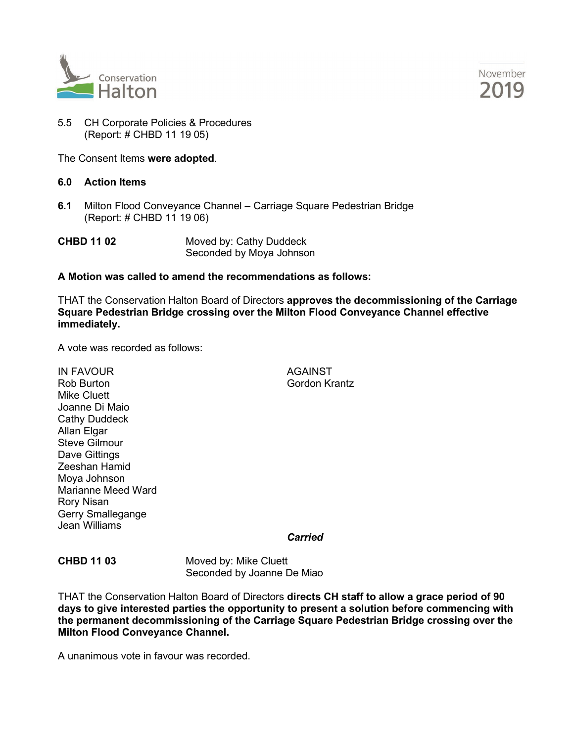



5.5 CH Corporate Policies & Procedures (Report: # CHBD 11 19 05)

The Consent Items **were adopted**.

#### **6.0 Action Items**

**6.1** Milton Flood Conveyance Channel – Carriage Square Pedestrian Bridge (Report: # CHBD 11 19 06)

**CHBD 11 02** Moved by: Cathy Duddeck Seconded by Moya Johnson

#### **A Motion was called to amend the recommendations as follows:**

THAT the Conservation Halton Board of Directors **approves the decommissioning of the Carriage Square Pedestrian Bridge crossing over the Milton Flood Conveyance Channel effective immediately.**

A vote was recorded as follows:

IN FAVOUR AGAINST Rob Burton Gordon Krantz Mike Cluett Joanne Di Maio Cathy Duddeck **Allan Elgar** Steve Gilmour Dave Gittings Zeeshan Hamid Moya Johnson Marianne Meed Ward Rory Nisan Gerry Smallegange Jean Williams

*Carried*

**CHBD 11 03** Moved by: Mike Cluett Seconded by Joanne De Miao

THAT the Conservation Halton Board of Directors **directs CH staff to allow a grace period of 90 days to give interested parties the opportunity to present a solution before commencing with the permanent decommissioning of the Carriage Square Pedestrian Bridge crossing over the Milton Flood Conveyance Channel.**

A unanimous vote in favour was recorded.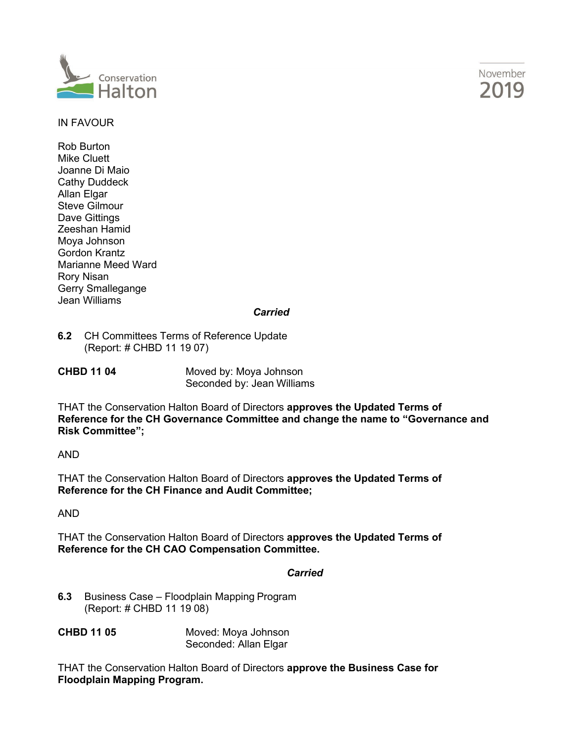



## IN FAVOUR

Rob Burton Mike Cluett Joanne Di Maio Cathy Duddeck Allan Elgar Steve Gilmour Dave Gittings Zeeshan Hamid Moya Johnson Gordon Krantz Marianne Meed Ward Rory Nisan Gerry Smallegange Jean Williams

#### *Carried*

**6.2** CH Committees Terms of Reference Update (Report: # CHBD 11 19 07)

**CHBD 11 04** Moved by: Moya Johnson Seconded by: Jean Williams

THAT the Conservation Halton Board of Directors **approves the Updated Terms of Reference for the CH Governance Committee and change the name to "Governance and Risk Committee";**

AND

THAT the Conservation Halton Board of Directors **approves the Updated Terms of Reference for the CH Finance and Audit Committee;**

AND

THAT the Conservation Halton Board of Directors **approves the Updated Terms of Reference for the CH CAO Compensation Committee.**

## *Carried*

- **6.3** Business Case Floodplain Mapping Program (Report: # CHBD 11 19 08)
- **CHBD 11 05** Moved: Moya Johnson Seconded: Allan Elgar

THAT the Conservation Halton Board of Directors **approve the Business Case for Floodplain Mapping Program.**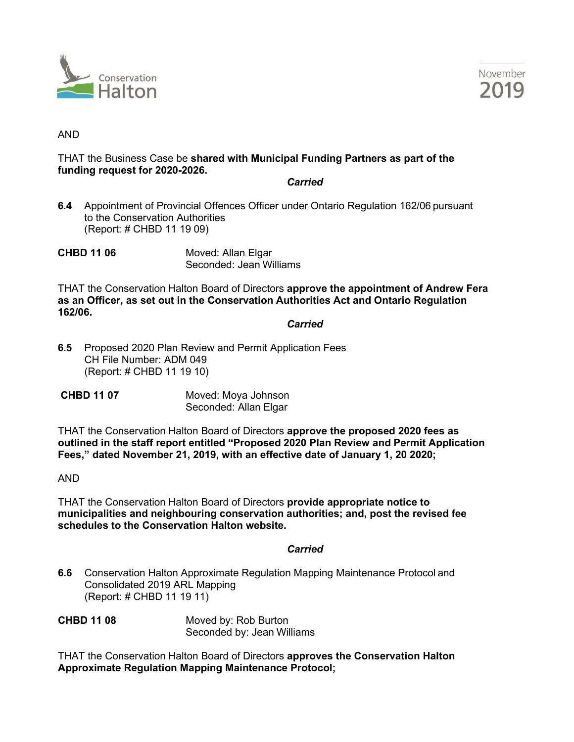



#### AND

## THAT the Business Case be **shared with Municipal Funding Partners as part of the funding request for 2020-2026.**

#### *Carried*

- **6.4** Appointment of Provincial Offences Officer under Ontario Regulation 162/06 pursuant to the Conservation Authorities (Report: # CHBD 11 19 09)
- **CHBD 11 06** Moved: Allan Elgar Seconded: Jean Williams

THAT the Conservation Halton Board of Directors **approve the appointment of Andrew Fera as an Officer, as set out in the Conservation Authorities Act and Ontario Regulation 162/06.**

#### *Carried*

- **6.5** Proposed 2020 Plan Review and Permit Application Fees CH File Number: ADM 049 (Report: # CHBD 11 19 10)
- **CHBD 11 07** Moved: Moya Johnson Seconded: Allan Elgar

THAT the Conservation Halton Board of Directors **approve the proposed 2020 fees as outlined in the staff report entitled "Proposed 2020 Plan Review and Permit Application Fees," dated November 21, 2019, with an effective date of January 1, 20 2020;**

## AND

THAT the Conservation Halton Board of Directors **provide appropriate notice to municipalities and neighbouring conservation authorities; and, post the revised fee schedules to the Conservation Halton website.**

## *Carried*

**6.6** Conservation Halton Approximate Regulation Mapping Maintenance Protocol and Consolidated 2019 ARL Mapping (Report: # CHBD 11 19 11)

**CHBD 11 08** Moved by: Rob Burton Seconded by: Jean Williams

THAT the Conservation Halton Board of Directors **approves the Conservation Halton Approximate Regulation Mapping Maintenance Protocol;**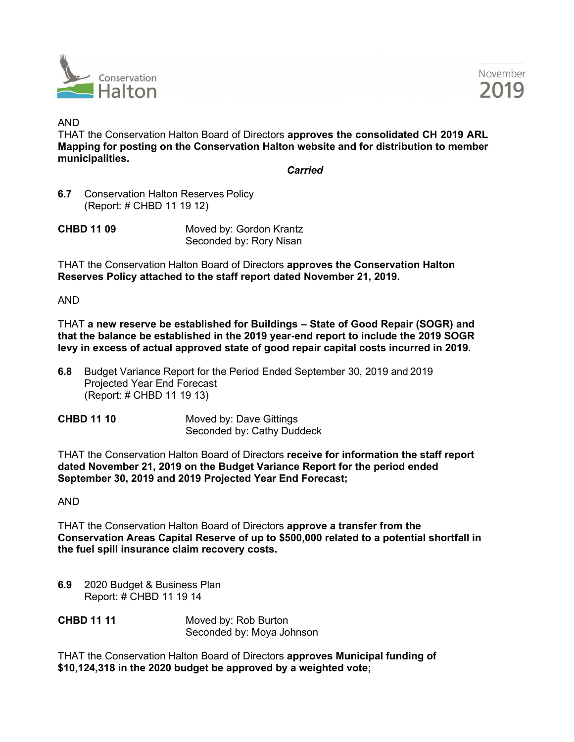



#### AND

THAT the Conservation Halton Board of Directors **approves the consolidated CH 2019 ARL Mapping for posting on the Conservation Halton website and for distribution to member municipalities.**

*Carried*

**6.7** Conservation Halton Reserves Policy (Report: # CHBD 11 19 12)

| <b>CHBD 11 09</b> | Moved by: Gordon Krantz |
|-------------------|-------------------------|
|                   | Seconded by: Rory Nisan |

THAT the Conservation Halton Board of Directors **approves the Conservation Halton Reserves Policy attached to the staff report dated November 21, 2019.**

AND

THAT **a new reserve be established for Buildings – State of Good Repair (SOGR) and that the balance be established in the 2019 year-end report to include the 2019 SOGR levy in excess of actual approved state of good repair capital costs incurred in 2019.**

- **6.8** Budget Variance Report for the Period Ended September 30, 2019 and 2019 Projected Year End Forecast (Report: # CHBD 11 19 13)
- **CHBD 11 10** Moved by: Dave Gittings Seconded by: Cathy Duddeck

THAT the Conservation Halton Board of Directors **receive for information the staff report dated November 21, 2019 on the Budget Variance Report for the period ended September 30, 2019 and 2019 Projected Year End Forecast;**

AND

THAT the Conservation Halton Board of Directors **approve a transfer from the Conservation Areas Capital Reserve of up to \$500,000 related to a potential shortfall in the fuel spill insurance claim recovery costs.**

**6.9** 2020 Budget & Business Plan Report: # CHBD 11 19 14

**CHBD 11 11** Moved by: Rob Burton Seconded by: Moya Johnson

THAT the Conservation Halton Board of Directors **approves Municipal funding of \$10,124,318 in the 2020 budget be approved by a weighted vote;**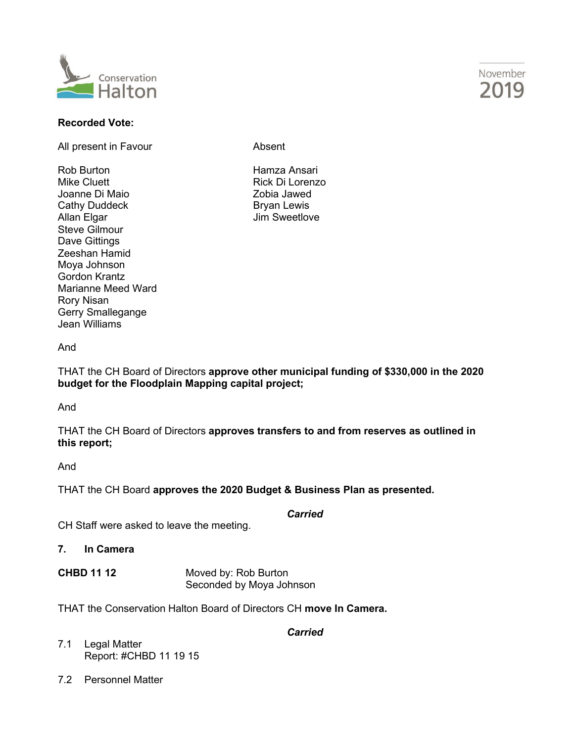

## **Recorded Vote:**

All present in Favour **Absent** 

Rob Burton Hamza Ansari Joanne Di Maio **Xanadia Afrika Afrika Afrika Zobia Jawed** Cathy Duddeck Bryan Lewis Steve Gilmour Dave Gittings Zeeshan Hamid Moya Johnson Gordon Krantz Marianne Meed Ward Rory Nisan Gerry Smallegange Jean Williams

Rick Di Lorenzo Jim Sweetlove

#### And

THAT the CH Board of Directors **approve other municipal funding of \$330,000 in the 2020 budget for the Floodplain Mapping capital project;**

And

THAT the CH Board of Directors **approves transfers to and from reserves as outlined in this report;**

And

THAT the CH Board **approves the 2020 Budget & Business Plan as presented.**

*Carried*

CH Staff were asked to leave the meeting.

**7. In Camera**

| <b>CHBD 11 12</b> | Moved by: Rob Burton     |
|-------------------|--------------------------|
|                   | Seconded by Moya Johnson |

THAT the Conservation Halton Board of Directors CH **move In Camera.**

*Carried*

- 7.1 Legal Matter Report: #CHBD 11 19 15
- 7.2 Personnel Matter